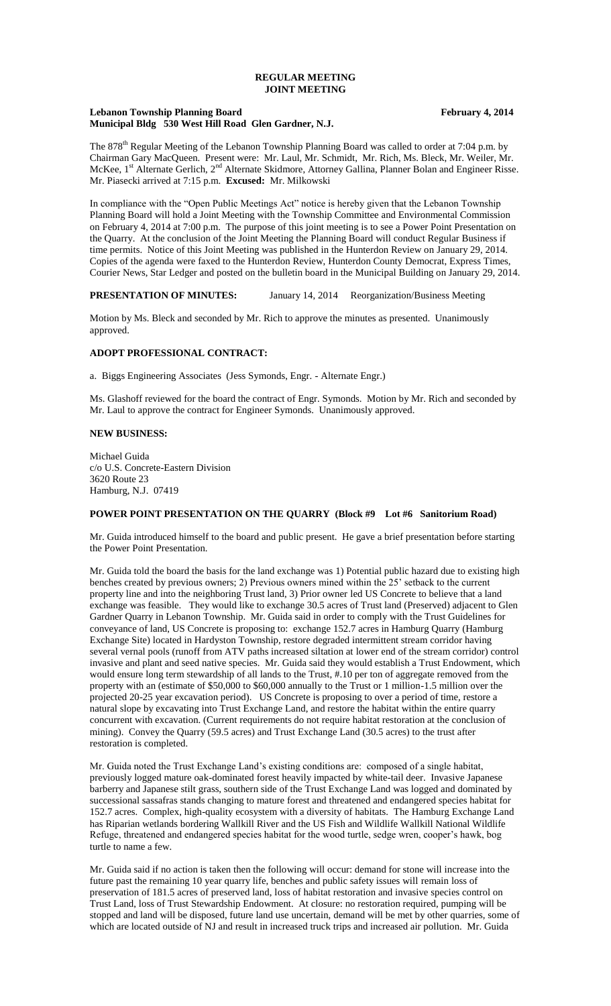### **REGULAR MEETING JOINT MEETING**

### **Lebanon Township Planning Board February 4, 2014 Municipal Bldg 530 West Hill Road Glen Gardner, N.J.**

The 878<sup>th</sup> Regular Meeting of the Lebanon Township Planning Board was called to order at 7:04 p.m. by Chairman Gary MacQueen. Present were: Mr. Laul, Mr. Schmidt, Mr. Rich, Ms. Bleck, Mr. Weiler, Mr. McKee, 1<sup>st</sup> Alternate Gerlich, 2<sup>nd</sup> Alternate Skidmore, Attorney Gallina, Planner Bolan and Engineer Risse. Mr. Piasecki arrived at 7:15 p.m. **Excused:** Mr. Milkowski

In compliance with the "Open Public Meetings Act" notice is hereby given that the Lebanon Township Planning Board will hold a Joint Meeting with the Township Committee and Environmental Commission on February 4, 2014 at 7:00 p.m. The purpose of this joint meeting is to see a Power Point Presentation on the Quarry. At the conclusion of the Joint Meeting the Planning Board will conduct Regular Business if time permits. Notice of this Joint Meeting was published in the Hunterdon Review on January 29, 2014. Copies of the agenda were faxed to the Hunterdon Review, Hunterdon County Democrat, Express Times, Courier News, Star Ledger and posted on the bulletin board in the Municipal Building on January 29, 2014.

#### **PRESENTATION OF MINUTES:** January 14, 2014 Reorganization/Business Meeting

Motion by Ms. Bleck and seconded by Mr. Rich to approve the minutes as presented. Unanimously approved.

### **ADOPT PROFESSIONAL CONTRACT:**

a. Biggs Engineering Associates (Jess Symonds, Engr. - Alternate Engr.)

Ms. Glashoff reviewed for the board the contract of Engr. Symonds. Motion by Mr. Rich and seconded by Mr. Laul to approve the contract for Engineer Symonds. Unanimously approved.

# **NEW BUSINESS:**

Michael Guida c/o U.S. Concrete-Eastern Division 3620 Route 23 Hamburg, N.J. 07419

# **POWER POINT PRESENTATION ON THE QUARRY (Block #9 Lot #6 Sanitorium Road)**

Mr. Guida introduced himself to the board and public present. He gave a brief presentation before starting the Power Point Presentation.

Mr. Guida told the board the basis for the land exchange was 1) Potential public hazard due to existing high benches created by previous owners; 2) Previous owners mined within the 25' setback to the current property line and into the neighboring Trust land, 3) Prior owner led US Concrete to believe that a land exchange was feasible. They would like to exchange 30.5 acres of Trust land (Preserved) adjacent to Glen Gardner Quarry in Lebanon Township. Mr. Guida said in order to comply with the Trust Guidelines for conveyance of land, US Concrete is proposing to: exchange 152.7 acres in Hamburg Quarry (Hamburg Exchange Site) located in Hardyston Township, restore degraded intermittent stream corridor having several vernal pools (runoff from ATV paths increased siltation at lower end of the stream corridor) control invasive and plant and seed native species. Mr. Guida said they would establish a Trust Endowment, which would ensure long term stewardship of all lands to the Trust, #.10 per ton of aggregate removed from the property with an (estimate of \$50,000 to \$60,000 annually to the Trust or 1 million-1.5 million over the projected 20-25 year excavation period). US Concrete is proposing to over a period of time, restore a natural slope by excavating into Trust Exchange Land, and restore the habitat within the entire quarry concurrent with excavation. (Current requirements do not require habitat restoration at the conclusion of mining). Convey the Quarry (59.5 acres) and Trust Exchange Land (30.5 acres) to the trust after restoration is completed.

Mr. Guida noted the Trust Exchange Land's existing conditions are: composed of a single habitat, previously logged mature oak-dominated forest heavily impacted by white-tail deer. Invasive Japanese barberry and Japanese stilt grass, southern side of the Trust Exchange Land was logged and dominated by successional sassafras stands changing to mature forest and threatened and endangered species habitat for 152.7 acres. Complex, high-quality ecosystem with a diversity of habitats. The Hamburg Exchange Land has Riparian wetlands bordering Wallkill River and the US Fish and Wildlife Wallkill National Wildlife Refuge, threatened and endangered species habitat for the wood turtle, sedge wren, cooper's hawk, bog turtle to name a few.

Mr. Guida said if no action is taken then the following will occur: demand for stone will increase into the future past the remaining 10 year quarry life, benches and public safety issues will remain loss of preservation of 181.5 acres of preserved land, loss of habitat restoration and invasive species control on Trust Land, loss of Trust Stewardship Endowment. At closure: no restoration required, pumping will be stopped and land will be disposed, future land use uncertain, demand will be met by other quarries, some of which are located outside of NJ and result in increased truck trips and increased air pollution. Mr. Guida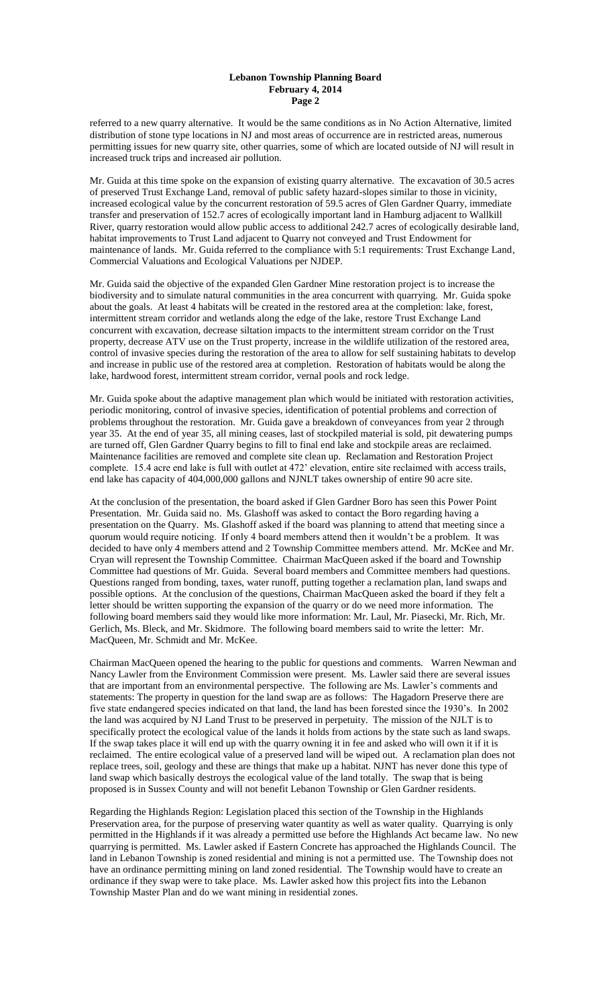### **Lebanon Township Planning Board February 4, 2014 Page 2**

referred to a new quarry alternative. It would be the same conditions as in No Action Alternative, limited distribution of stone type locations in NJ and most areas of occurrence are in restricted areas, numerous permitting issues for new quarry site, other quarries, some of which are located outside of NJ will result in increased truck trips and increased air pollution.

Mr. Guida at this time spoke on the expansion of existing quarry alternative. The excavation of 30.5 acres of preserved Trust Exchange Land, removal of public safety hazard-slopes similar to those in vicinity, increased ecological value by the concurrent restoration of 59.5 acres of Glen Gardner Quarry, immediate transfer and preservation of 152.7 acres of ecologically important land in Hamburg adjacent to Wallkill River, quarry restoration would allow public access to additional 242.7 acres of ecologically desirable land, habitat improvements to Trust Land adjacent to Quarry not conveyed and Trust Endowment for maintenance of lands. Mr. Guida referred to the compliance with 5:1 requirements: Trust Exchange Land, Commercial Valuations and Ecological Valuations per NJDEP.

Mr. Guida said the objective of the expanded Glen Gardner Mine restoration project is to increase the biodiversity and to simulate natural communities in the area concurrent with quarrying. Mr. Guida spoke about the goals. At least 4 habitats will be created in the restored area at the completion: lake, forest, intermittent stream corridor and wetlands along the edge of the lake, restore Trust Exchange Land concurrent with excavation, decrease siltation impacts to the intermittent stream corridor on the Trust property, decrease ATV use on the Trust property, increase in the wildlife utilization of the restored area, control of invasive species during the restoration of the area to allow for self sustaining habitats to develop and increase in public use of the restored area at completion. Restoration of habitats would be along the lake, hardwood forest, intermittent stream corridor, vernal pools and rock ledge.

Mr. Guida spoke about the adaptive management plan which would be initiated with restoration activities, periodic monitoring, control of invasive species, identification of potential problems and correction of problems throughout the restoration. Mr. Guida gave a breakdown of conveyances from year 2 through year 35. At the end of year 35, all mining ceases, last of stockpiled material is sold, pit dewatering pumps are turned off, Glen Gardner Quarry begins to fill to final end lake and stockpile areas are reclaimed. Maintenance facilities are removed and complete site clean up. Reclamation and Restoration Project complete. 15.4 acre end lake is full with outlet at 472' elevation, entire site reclaimed with access trails, end lake has capacity of 404,000,000 gallons and NJNLT takes ownership of entire 90 acre site.

At the conclusion of the presentation, the board asked if Glen Gardner Boro has seen this Power Point Presentation. Mr. Guida said no. Ms. Glashoff was asked to contact the Boro regarding having a presentation on the Quarry. Ms. Glashoff asked if the board was planning to attend that meeting since a quorum would require noticing. If only 4 board members attend then it wouldn't be a problem. It was decided to have only 4 members attend and 2 Township Committee members attend. Mr. McKee and Mr. Cryan will represent the Township Committee. Chairman MacQueen asked if the board and Township Committee had questions of Mr. Guida. Several board members and Committee members had questions. Questions ranged from bonding, taxes, water runoff, putting together a reclamation plan, land swaps and possible options. At the conclusion of the questions, Chairman MacQueen asked the board if they felt a letter should be written supporting the expansion of the quarry or do we need more information. The following board members said they would like more information: Mr. Laul, Mr. Piasecki, Mr. Rich, Mr. Gerlich, Ms. Bleck, and Mr. Skidmore. The following board members said to write the letter: Mr. MacQueen, Mr. Schmidt and Mr. McKee.

Chairman MacQueen opened the hearing to the public for questions and comments. Warren Newman and Nancy Lawler from the Environment Commission were present. Ms. Lawler said there are several issues that are important from an environmental perspective. The following are Ms. Lawler's comments and statements: The property in question for the land swap are as follows: The Hagadorn Preserve there are five state endangered species indicated on that land, the land has been forested since the 1930's. In 2002 the land was acquired by NJ Land Trust to be preserved in perpetuity. The mission of the NJLT is to specifically protect the ecological value of the lands it holds from actions by the state such as land swaps. If the swap takes place it will end up with the quarry owning it in fee and asked who will own it if it is reclaimed. The entire ecological value of a preserved land will be wiped out. A reclamation plan does not replace trees, soil, geology and these are things that make up a habitat. NJNT has never done this type of land swap which basically destroys the ecological value of the land totally. The swap that is being proposed is in Sussex County and will not benefit Lebanon Township or Glen Gardner residents.

Regarding the Highlands Region: Legislation placed this section of the Township in the Highlands Preservation area, for the purpose of preserving water quantity as well as water quality. Quarrying is only permitted in the Highlands if it was already a permitted use before the Highlands Act became law. No new quarrying is permitted. Ms. Lawler asked if Eastern Concrete has approached the Highlands Council. The land in Lebanon Township is zoned residential and mining is not a permitted use. The Township does not have an ordinance permitting mining on land zoned residential. The Township would have to create an ordinance if they swap were to take place. Ms. Lawler asked how this project fits into the Lebanon Township Master Plan and do we want mining in residential zones.